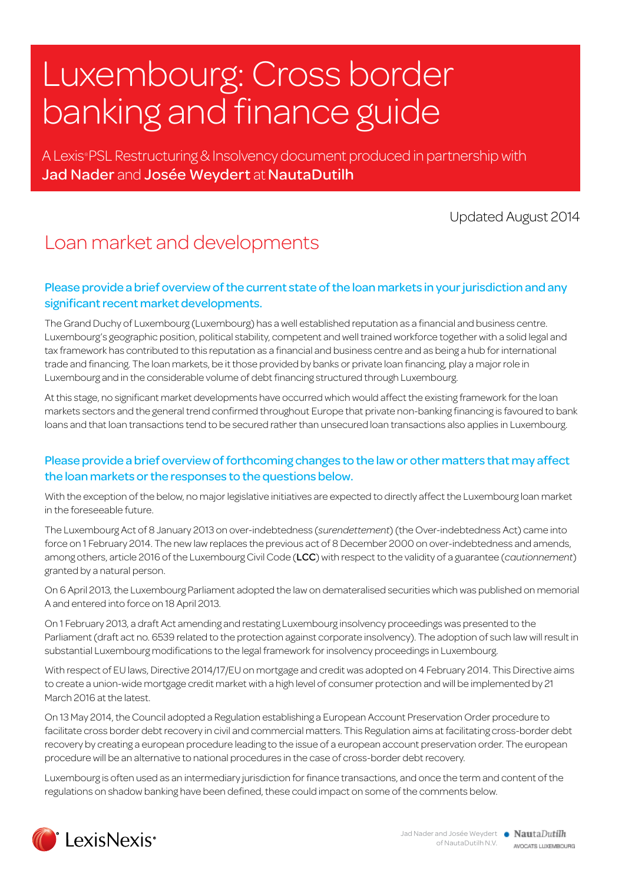# Luxembourg: Cross border banking and finance guide

A Lexis® PSL Restructuring & Insolvency document produced in partnership with Jad Nader and Josée Weydert at NautaDutilh

Updated August 2014

### Loan market and developments

#### Please provide a brief overview of the current state of the loan markets in your jurisdiction and any significant recent market developments.

The Grand Duchy of Luxembourg (Luxembourg) has a well established reputation as a financial and business centre. Luxembourg's geographic position, political stability, competent and well trained workforce together with a solid legal and tax framework has contributed to this reputation as a financial and business centre and as being a hub for international trade and financing. The loan markets, be it those provided by banks or private loan financing, play a major role in Luxembourg and in the considerable volume of debt financing structured through Luxembourg.

At this stage, no significant market developments have occurred which would affect the existing framework for the loan markets sectors and the general trend confirmed throughout Europe that private non-banking financing is favoured to bank loans and that loan transactions tend to be secured rather than unsecured loan transactions also applies in Luxembourg.

#### Please provide a brief overview of forthcoming changes to the law or other matters that may affect the loan markets or the responses to the questions below.

With the exception of the below, no major legislative initiatives are expected to directly affect the Luxembourg loan market in the foreseeable future.

The Luxembourg Act of 8 January 2013 on over-indebtedness (*surendettement*) (the Over-indebtedness Act) came into force on 1 February 2014. The new law replaces the previous act of 8 December 2000 on over-indebtedness and amends, among others, article 2016 of the Luxembourg Civil Code (LCC) with respect to the validity of a guarantee (*cautionnement*) granted by a natural person.

On 6 April 2013, the Luxembourg Parliament adopted the law on demateralised securities which was published on memorial A and entered into force on 18 April 2013.

On 1 February 2013, a draft Act amending and restating Luxembourg insolvency proceedings was presented to the Parliament (draft act no. 6539 related to the protection against corporate insolvency). The adoption of such law will result in substantial Luxembourg modifications to the legal framework for insolvency proceedings in Luxembourg.

With respect of EU laws, Directive 2014/17/EU on mortgage and credit was adopted on 4 February 2014. This Directive aims to create a union-wide mortgage credit market with a high level of consumer protection and will be implemented by 21 March 2016 at the latest.

On 13 May 2014, the Council adopted a Regulation establishing a European Account Preservation Order procedure to facilitate cross border debt recovery in civil and commercial matters. This Regulation aims at facilitating cross-border debt recovery by creating a european procedure leading to the issue of a european account preservation order. The european procedure will be an alternative to national procedures in the case of cross-border debt recovery.

Luxembourg is often used as an intermediary jurisdiction for finance transactions, and once the term and content of the regulations on shadow banking have been defined, these could impact on some of the comments below.

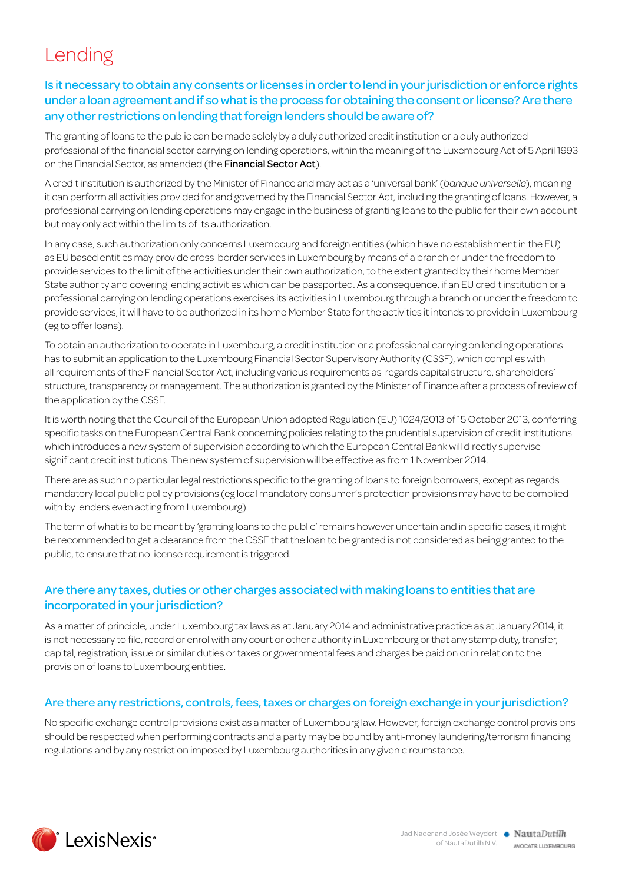# Lending

#### Is it necessary to obtain any consents or licenses in order to lend in your jurisdiction or enforce rights under a loan agreement and if so what is the process for obtaining the consent or license? Are there any other restrictions on lending that foreign lenders should be aware of?

The granting of loans to the public can be made solely by a duly authorized credit institution or a duly authorized professional of the financial sector carrying on lending operations, within the meaning of the Luxembourg Act of 5 April 1993 on the Financial Sector, as amended (the Financial Sector Act).

A credit institution is authorized by the Minister of Finance and may act as a 'universal bank' (*banque universelle*), meaning it can perform all activities provided for and governed by the Financial Sector Act, including the granting of loans. However, a professional carrying on lending operations may engage in the business of granting loans to the public for their own account but may only act within the limits of its authorization.

In any case, such authorization only concerns Luxembourg and foreign entities (which have no establishment in the EU) as EU based entities may provide cross-border services in Luxembourg by means of a branch or under the freedom to provide services to the limit of the activities under their own authorization, to the extent granted by their home Member State authority and covering lending activities which can be passported. As a consequence, if an EU credit institution or a professional carrying on lending operations exercises its activities in Luxembourg through a branch or under the freedom to provide services, it will have to be authorized in its home Member State for the activities it intends to provide in Luxembourg (eg to offer loans).

To obtain an authorization to operate in Luxembourg, a credit institution or a professional carrying on lending operations has to submit an application to the Luxembourg Financial Sector Supervisory Authority (CSSF), which complies with all requirements of the Financial Sector Act, including various requirements as regards capital structure, shareholders' structure, transparency or management. The authorization is granted by the Minister of Finance after a process of review of the application by the CSSF.

It is worth noting that the Council of the European Union adopted Regulation (EU) 1024/2013 of 15 October 2013, conferring specific tasks on the European Central Bank concerning policies relating to the prudential supervision of credit institutions which introduces a new system of supervision according to which the European Central Bank will directly supervise significant credit institutions. The new system of supervision will be effective as from 1 November 2014.

There are as such no particular legal restrictions specific to the granting of loans to foreign borrowers, except as regards mandatory local public policy provisions (eg local mandatory consumer's protection provisions may have to be complied with by lenders even acting from Luxembourg).

The term of what is to be meant by 'granting loans to the public' remains however uncertain and in specific cases, it might be recommended to get a clearance from the CSSF that the loan to be granted is not considered as being granted to the public, to ensure that no license requirement is triggered.

#### Are there any taxes, duties or other charges associated with making loans to entities that are incorporated in your jurisdiction?

As a matter of principle, under Luxembourg tax laws as at January 2014 and administrative practice as at January 2014, it is not necessary to file, record or enrol with any court or other authority in Luxembourg or that any stamp duty, transfer, capital, registration, issue or similar duties or taxes or governmental fees and charges be paid on or in relation to the provision of loans to Luxembourg entities.

#### Are there any restrictions, controls, fees, taxes or charges on foreign exchange in your jurisdiction?

No specific exchange control provisions exist as a matter of Luxembourg law. However, foreign exchange control provisions should be respected when performing contracts and a party may be bound by anti-money laundering/terrorism financing regulations and by any restriction imposed by Luxembourg authorities in any given circumstance.

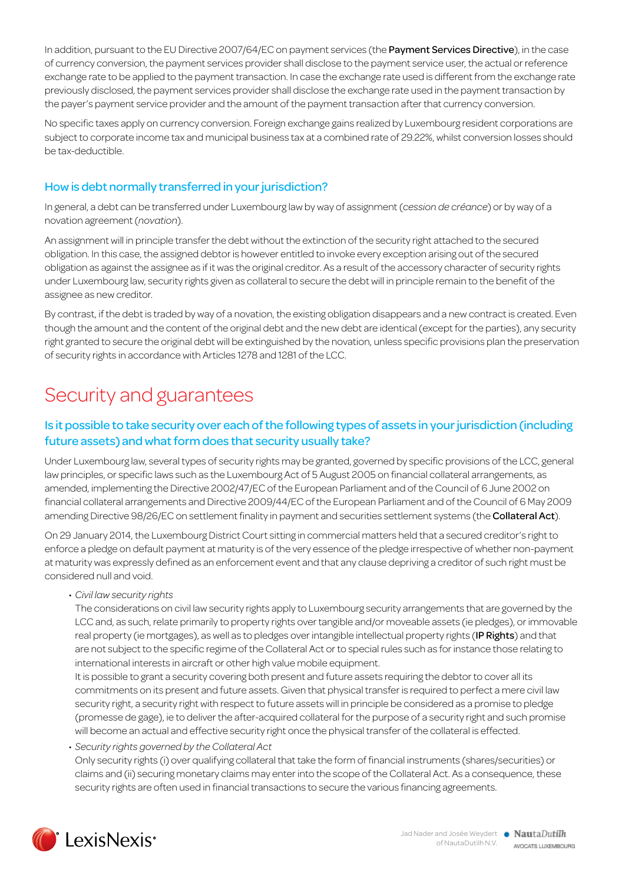In addition, pursuant to the EU Directive 2007/64/EC on payment services (the Payment Services Directive), in the case of currency conversion, the payment services provider shall disclose to the payment service user, the actual or reference exchange rate to be applied to the payment transaction. In case the exchange rate used is different from the exchange rate previously disclosed, the payment services provider shall disclose the exchange rate used in the payment transaction by the payer's payment service provider and the amount of the payment transaction after that currency conversion.

No specific taxes apply on currency conversion. Foreign exchange gains realized by Luxembourg resident corporations are subject to corporate income tax and municipal business tax at a combined rate of 29.22%, whilst conversion losses should be tax-deductible.

#### How is debt normally transferred in your jurisdiction?

In general, a debt can be transferred under Luxembourg law by way of assignment (*cession de créance*) or by way of a novation agreement (*novation*).

An assignment will in principle transfer the debt without the extinction of the security right attached to the secured obligation. In this case, the assigned debtor is however entitled to invoke every exception arising out of the secured obligation as against the assignee as if it was the original creditor. As a result of the accessory character of security rights under Luxembourg law, security rights given as collateral to secure the debt will in principle remain to the benefit of the assignee as new creditor.

By contrast, if the debt is traded by way of a novation, the existing obligation disappears and a new contract is created. Even though the amount and the content of the original debt and the new debt are identical (except for the parties), any security right granted to secure the original debt will be extinguished by the novation, unless specific provisions plan the preservation of security rights in accordance with Articles 1278 and 1281 of the LCC.

## Security and guarantees

#### Is it possible to take security over each of the following types of assets in your jurisdiction (including future assets) and what form does that security usually take?

Under Luxembourg law, several types of security rights may be granted, governed by specific provisions of the LCC, general law principles, or specific laws such as the Luxembourg Act of 5 August 2005 on financial collateral arrangements, as amended, implementing the Directive 2002/47/EC of the European Parliament and of the Council of 6 June 2002 on financial collateral arrangements and Directive 2009/44/EC of the European Parliament and of the Council of 6 May 2009 amending Directive 98/26/EC on settlement finality in payment and securities settlement systems (the Collateral Act).

On 29 January 2014, the Luxembourg District Court sitting in commercial matters held that a secured creditor's right to enforce a pledge on default payment at maturity is of the very essence of the pledge irrespective of whether non-payment at maturity was expressly defined as an enforcement event and that any clause depriving a creditor of such right must be considered null and void.

• *Civil law security rights*

The considerations on civil law security rights apply to Luxembourg security arrangements that are governed by the LCC and, as such, relate primarily to property rights over tangible and/or moveable assets (ie pledges), or immovable real property (ie mortgages), as well as to pledges over intangible intellectual property rights (IP Rights) and that are not subject to the specific regime of the Collateral Act or to special rules such as for instance those relating to international interests in aircraft or other high value mobile equipment.

It is possible to grant a security covering both present and future assets requiring the debtor to cover all its commitments on its present and future assets. Given that physical transfer is required to perfect a mere civil law security right, a security right with respect to future assets will in principle be considered as a promise to pledge (promesse de gage), ie to deliver the after-acquired collateral for the purpose of a security right and such promise will become an actual and effective security right once the physical transfer of the collateral is effected.

• *Security rights governed by the Collateral Act* Only security rights (i) over qualifying collateral that take the form of financial instruments (shares/securities) or claims and (ii) securing monetary claims may enter into the scope of the Collateral Act. As a consequence, these security rights are often used in financial transactions to secure the various financing agreements.

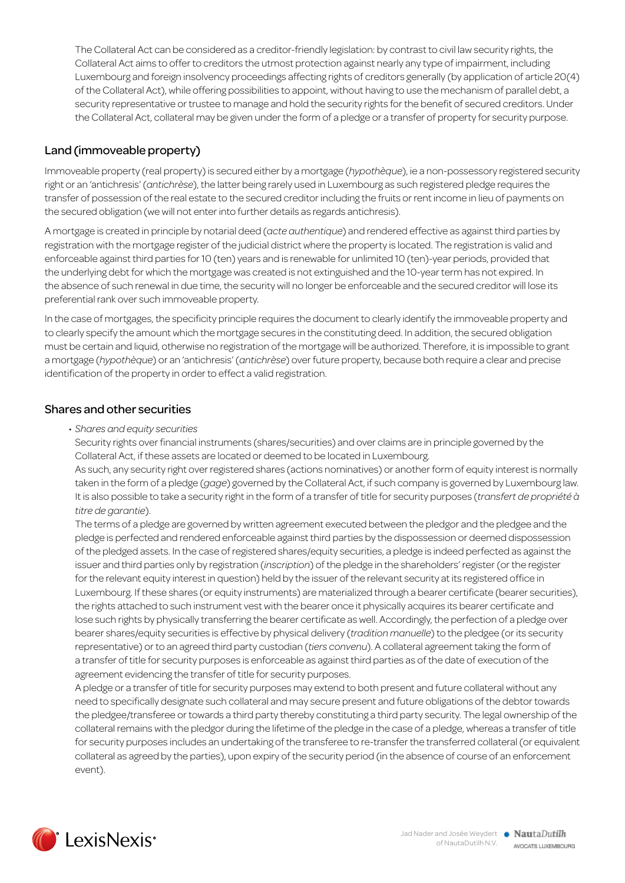The Collateral Act can be considered as a creditor-friendly legislation: by contrast to civil law security rights, the Collateral Act aims to offer to creditors the utmost protection against nearly any type of impairment, including Luxembourg and foreign insolvency proceedings affecting rights of creditors generally (by application of article 20(4) of the Collateral Act), while offering possibilities to appoint, without having to use the mechanism of parallel debt, a security representative or trustee to manage and hold the security rights for the benefit of secured creditors. Under the Collateral Act, collateral may be given under the form of a pledge or a transfer of property for security purpose.

#### Land (immoveable property)

Immoveable property (real property) is secured either by a mortgage (*hypothèque*), ie a non-possessory registered security right or an 'antichresis' (*antichrèse*), the latter being rarely used in Luxembourg as such registered pledge requires the transfer of possession of the real estate to the secured creditor including the fruits or rent income in lieu of payments on the secured obligation (we will not enter into further details as regards antichresis).

A mortgage is created in principle by notarial deed (*acte authentique*) and rendered effective as against third parties by registration with the mortgage register of the judicial district where the property is located. The registration is valid and enforceable against third parties for 10 (ten) years and is renewable for unlimited 10 (ten)-year periods, provided that the underlying debt for which the mortgage was created is not extinguished and the 10-year term has not expired. In the absence of such renewal in due time, the security will no longer be enforceable and the secured creditor will lose its preferential rank over such immoveable property.

In the case of mortgages, the specificity principle requires the document to clearly identify the immoveable property and to clearly specify the amount which the mortgage secures in the constituting deed. In addition, the secured obligation must be certain and liquid, otherwise no registration of the mortgage will be authorized. Therefore, it is impossible to grant a mortgage (*hypothèque*) or an 'antichresis' (*antichrèse*) over future property, because both require a clear and precise identification of the property in order to effect a valid registration.

#### Shares and other securities

• *Shares and equity securities*

Security rights over financial instruments (shares/securities) and over claims are in principle governed by the Collateral Act, if these assets are located or deemed to be located in Luxembourg.

As such, any security right over registered shares (actions nominatives) or another form of equity interest is normally taken in the form of a pledge (*gage*) governed by the Collateral Act, if such company is governed by Luxembourg law. It is also possible to take a security right in the form of a transfer of title for security purposes (*transfert de propriété à titre de garantie*).

The terms of a pledge are governed by written agreement executed between the pledgor and the pledgee and the pledge is perfected and rendered enforceable against third parties by the dispossession or deemed dispossession of the pledged assets. In the case of registered shares/equity securities, a pledge is indeed perfected as against the issuer and third parties only by registration (*inscription*) of the pledge in the shareholders' register (or the register for the relevant equity interest in question) held by the issuer of the relevant security at its registered office in Luxembourg. If these shares (or equity instruments) are materialized through a bearer certificate (bearer securities), the rights attached to such instrument vest with the bearer once it physically acquires its bearer certificate and lose such rights by physically transferring the bearer certificate as well. Accordingly, the perfection of a pledge over bearer shares/equity securities is effective by physical delivery (*tradition manuelle*) to the pledgee (or its security representative) or to an agreed third party custodian (*tiers convenu*). A collateral agreement taking the form of a transfer of title for security purposes is enforceable as against third parties as of the date of execution of the agreement evidencing the transfer of title for security purposes.

A pledge or a transfer of title for security purposes may extend to both present and future collateral without any need to specifically designate such collateral and may secure present and future obligations of the debtor towards the pledgee/transferee or towards a third party thereby constituting a third party security. The legal ownership of the collateral remains with the pledgor during the lifetime of the pledge in the case of a pledge, whereas a transfer of title for security purposes includes an undertaking of the transferee to re-transfer the transferred collateral (or equivalent collateral as agreed by the parties), upon expiry of the security period (in the absence of course of an enforcement event).

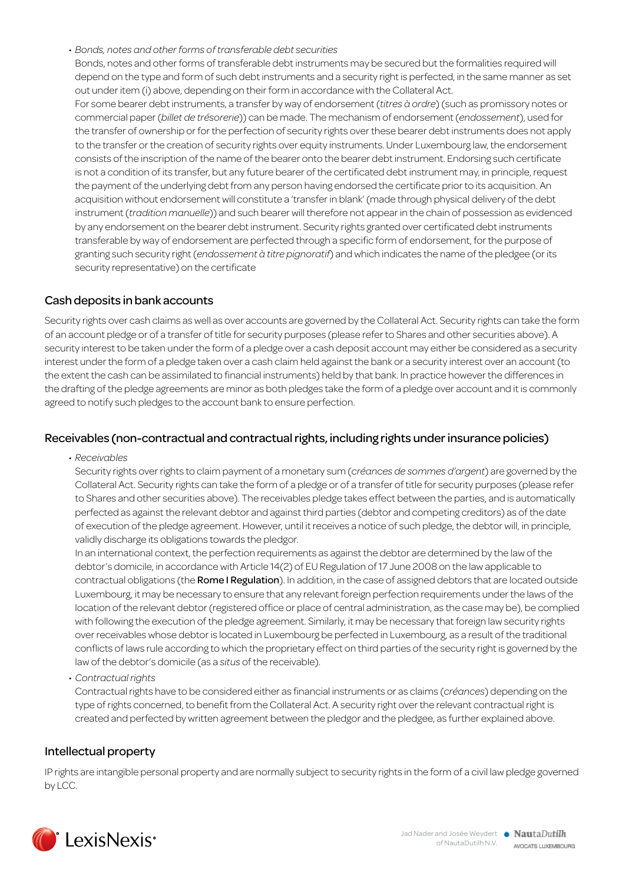#### • *Bonds, notes and other forms of transferable debt securities*

Bonds, notes and other forms of transferable debt instruments may be secured but the formalities required will depend on the type and form of such debt instruments and a security right is perfected, in the same manner as set out under item (i) above, depending on their form in accordance with the Collateral Act. For some bearer debt instruments, a transfer by way of endorsement (*titres à ordre*) (such as promissory notes or commercial paper (*billet de trésorerie*)) can be made. The mechanism of endorsement (*endossement*), used for the transfer of ownership or for the perfection of security rights over these bearer debt instruments does not apply to the transfer or the creation of security rights over equity instruments. Under Luxembourg law, the endorsement consists of the inscription of the name of the bearer onto the bearer debt instrument. Endorsing such certificate is not a condition of its transfer, but any future bearer of the certificated debt instrument may, in principle, request the payment of the underlying debt from any person having endorsed the certificate prior to its acquisition. An acquisition without endorsement will constitute a 'transfer in blank' (made through physical delivery of the debt instrument (*tradition manuelle*)) and such bearer will therefore not appear in the chain of possession as evidenced by any endorsement on the bearer debt instrument. Security rights granted over certificated debt instruments transferable by way of endorsement are perfected through a specific form of endorsement, for the purpose of granting such security right (*endossement à titre pignoratif*) and which indicates the name of the pledgee (or its security representative) on the certificate

#### Cash deposits in bank accounts

Security rights over cash claims as well as over accounts are governed by the Collateral Act. Security rights can take the form of an account pledge or of a transfer of title for security purposes (please refer to Shares and other securities above). A security interest to be taken under the form of a pledge over a cash deposit account may either be considered as a security interest under the form of a pledge taken over a cash claim held against the bank or a security interest over an account (to the extent the cash can be assimilated to financial instruments) held by that bank. In practice however the differences in the drafting of the pledge agreements are minor as both pledges take the form of a pledge over account and it is commonly agreed to notify such pledges to the account bank to ensure perfection.

#### Receivables (non-contractual and contractual rights, including rights under insurance policies)

• *Receivables*

Security rights over rights to claim payment of a monetary sum (*créances de sommes d'argent*) are governed by the Collateral Act. Security rights can take the form of a pledge or of a transfer of title for security purposes (please refer to Shares and other securities above). The receivables pledge takes effect between the parties, and is automatically perfected as against the relevant debtor and against third parties (debtor and competing creditors) as of the date of execution of the pledge agreement. However, until it receives a notice of such pledge, the debtor will, in principle, validly discharge its obligations towards the pledgor.

In an international context, the perfection requirements as against the debtor are determined by the law of the debtor's domicile, in accordance with Article 14(2) of EU Regulation of 17 June 2008 on the law applicable to contractual obligations (the Rome I Regulation). In addition, in the case of assigned debtors that are located outside Luxembourg, it may be necessary to ensure that any relevant foreign perfection requirements under the laws of the location of the relevant debtor (registered office or place of central administration, as the case may be), be complied with following the execution of the pledge agreement. Similarly, it may be necessary that foreign law security rights over receivables whose debtor is located in Luxembourg be perfected in Luxembourg, as a result of the traditional conflicts of laws rule according to which the proprietary effect on third parties of the security right is governed by the law of the debtor's domicile (as a *situs* of the receivable).

• *Contractual rights*

Contractual rights have to be considered either as financial instruments or as claims (*créances*) depending on the type of rights concerned, to benefit from the Collateral Act. A security right over the relevant contractual right is created and perfected by written agreement between the pledgor and the pledgee, as further explained above.

#### Intellectual property

IP rights are intangible personal property and are normally subject to security rights in the form of a civil law pledge governed by LCC.

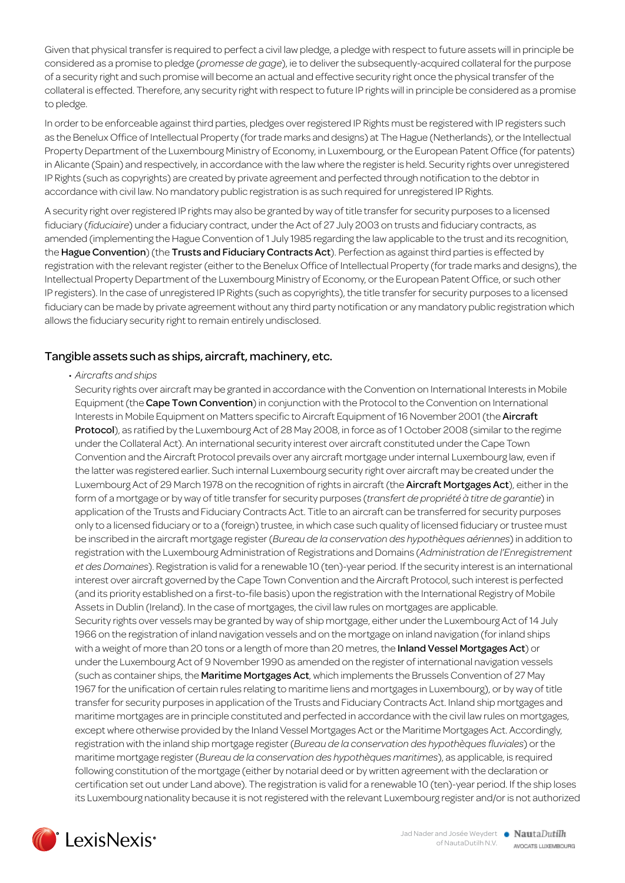Given that physical transfer is required to perfect a civil law pledge, a pledge with respect to future assets will in principle be considered as a promise to pledge (*promesse de gage*), ie to deliver the subsequently-acquired collateral for the purpose of a security right and such promise will become an actual and effective security right once the physical transfer of the collateral is effected. Therefore, any security right with respect to future IP rights will in principle be considered as a promise to pledge.

In order to be enforceable against third parties, pledges over registered IP Rights must be registered with IP registers such as the Benelux Office of Intellectual Property (for trade marks and designs) at The Hague (Netherlands), or the Intellectual Property Department of the Luxembourg Ministry of Economy, in Luxembourg, or the European Patent Office (for patents) in Alicante (Spain) and respectively, in accordance with the law where the register is held. Security rights over unregistered IP Rights (such as copyrights) are created by private agreement and perfected through notification to the debtor in accordance with civil law. No mandatory public registration is as such required for unregistered IP Rights.

A security right over registered IP rights may also be granted by way of title transfer for security purposes to a licensed fiduciary (*fiduciaire*) under a fiduciary contract, under the Act of 27 July 2003 on trusts and fiduciary contracts, as amended (implementing the Hague Convention of 1 July 1985 regarding the law applicable to the trust and its recognition, the Hague Convention) (the Trusts and Fiduciary Contracts Act). Perfection as against third parties is effected by registration with the relevant register (either to the Benelux Office of Intellectual Property (for trade marks and designs), the Intellectual Property Department of the Luxembourg Ministry of Economy, or the European Patent Office, or such other IP registers). In the case of unregistered IP Rights (such as copyrights), the title transfer for security purposes to a licensed fiduciary can be made by private agreement without any third party notification or any mandatory public registration which allows the fiduciary security right to remain entirely undisclosed.

#### Tangible assets such as ships, aircraft, machinery, etc.

• *Aircrafts and ships*

Security rights over aircraft may be granted in accordance with the Convention on International Interests in Mobile Equipment (the Cape Town Convention) in conjunction with the Protocol to the Convention on International Interests in Mobile Equipment on Matters specific to Aircraft Equipment of 16 November 2001 (the Aircraft Protocol), as ratified by the Luxembourg Act of 28 May 2008, in force as of 1 October 2008 (similar to the regime under the Collateral Act). An international security interest over aircraft constituted under the Cape Town Convention and the Aircraft Protocol prevails over any aircraft mortgage under internal Luxembourg law, even if the latter was registered earlier. Such internal Luxembourg security right over aircraft may be created under the Luxembourg Act of 29 March 1978 on the recognition of rights in aircraft (the Aircraft Mortgages Act), either in the form of a mortgage or by way of title transfer for security purposes (*transfert de propriété à titre de garantie*) in application of the Trusts and Fiduciary Contracts Act. Title to an aircraft can be transferred for security purposes only to a licensed fiduciary or to a (foreign) trustee, in which case such quality of licensed fiduciary or trustee must be inscribed in the aircraft mortgage register (*Bureau de la conservation des hypothèques aériennes*) in addition to registration with the Luxembourg Administration of Registrations and Domains (*Administration de l'Enregistrement et des Domaines*). Registration is valid for a renewable 10 (ten)-year period. If the security interest is an international interest over aircraft governed by the Cape Town Convention and the Aircraft Protocol, such interest is perfected (and its priority established on a first-to-file basis) upon the registration with the International Registry of Mobile Assets in Dublin (Ireland). In the case of mortgages, the civil law rules on mortgages are applicable. Security rights over vessels may be granted by way of ship mortgage, either under the Luxembourg Act of 14 July 1966 on the registration of inland navigation vessels and on the mortgage on inland navigation (for inland ships with a weight of more than 20 tons or a length of more than 20 metres, the Inland Vessel Mortgages Act) or under the Luxembourg Act of 9 November 1990 as amended on the register of international navigation vessels (such as container ships, the Maritime Mortgages Act, which implements the Brussels Convention of 27 May 1967 for the unification of certain rules relating to maritime liens and mortgages in Luxembourg), or by way of title transfer for security purposes in application of the Trusts and Fiduciary Contracts Act. Inland ship mortgages and maritime mortgages are in principle constituted and perfected in accordance with the civil law rules on mortgages, except where otherwise provided by the Inland Vessel Mortgages Act or the Maritime Mortgages Act. Accordingly, registration with the inland ship mortgage register (*Bureau de la conservation des hypothèques fluviales*) or the maritime mortgage register (*Bureau de la conservation des hypothèques maritimes*), as applicable, is required following constitution of the mortgage (either by notarial deed or by written agreement with the declaration or certification set out under Land above). The registration is valid for a renewable 10 (ten)-year period. If the ship loses its Luxembourg nationality because it is not registered with the relevant Luxembourg register and/or is not authorized

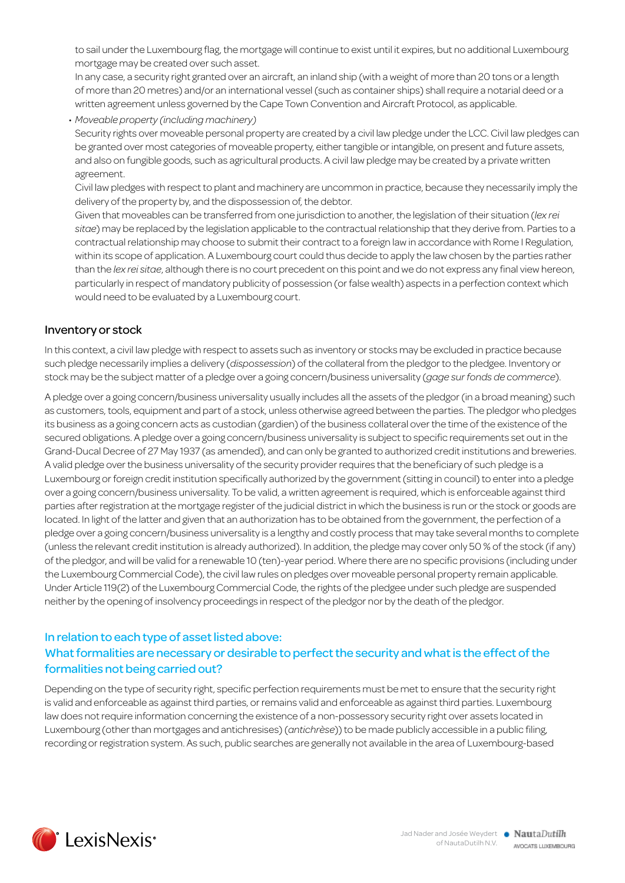to sail under the Luxembourg flag, the mortgage will continue to exist until it expires, but no additional Luxembourg mortgage may be created over such asset.

In any case, a security right granted over an aircraft, an inland ship (with a weight of more than 20 tons or a length of more than 20 metres) and/or an international vessel (such as container ships) shall require a notarial deed or a written agreement unless governed by the Cape Town Convention and Aircraft Protocol, as applicable.

• *Moveable property (including machinery)* Security rights over moveable personal property are created by a civil law pledge under the LCC. Civil law pledges can be granted over most categories of moveable property, either tangible or intangible, on present and future assets, and also on fungible goods, such as agricultural products. A civil law pledge may be created by a private written agreement.

Civil law pledges with respect to plant and machinery are uncommon in practice, because they necessarily imply the delivery of the property by, and the dispossession of, the debtor.

Given that moveables can be transferred from one jurisdiction to another, the legislation of their situation (*lex rei sitae*) may be replaced by the legislation applicable to the contractual relationship that they derive from. Parties to a contractual relationship may choose to submit their contract to a foreign law in accordance with Rome I Regulation, within its scope of application. A Luxembourg court could thus decide to apply the law chosen by the parties rather than the *lex rei sitae*, although there is no court precedent on this point and we do not express any final view hereon, particularly in respect of mandatory publicity of possession (or false wealth) aspects in a perfection context which would need to be evaluated by a Luxembourg court.

#### Inventory or stock

In this context, a civil law pledge with respect to assets such as inventory or stocks may be excluded in practice because such pledge necessarily implies a delivery (*dispossession*) of the collateral from the pledgor to the pledgee. Inventory or stock may be the subject matter of a pledge over a going concern/business universality (*gage sur fonds de commerce*).

A pledge over a going concern/business universality usually includes all the assets of the pledgor (in a broad meaning) such as customers, tools, equipment and part of a stock, unless otherwise agreed between the parties. The pledgor who pledges its business as a going concern acts as custodian (gardien) of the business collateral over the time of the existence of the secured obligations. A pledge over a going concern/business universality is subject to specific requirements set out in the Grand-Ducal Decree of 27 May 1937 (as amended), and can only be granted to authorized credit institutions and breweries. A valid pledge over the business universality of the security provider requires that the beneficiary of such pledge is a Luxembourg or foreign credit institution specifically authorized by the government (sitting in council) to enter into a pledge over a going concern/business universality. To be valid, a written agreement is required, which is enforceable against third parties after registration at the mortgage register of the judicial district in which the business is run or the stock or goods are located. In light of the latter and given that an authorization has to be obtained from the government, the perfection of a pledge over a going concern/business universality is a lengthy and costly process that may take several months to complete (unless the relevant credit institution is already authorized). In addition, the pledge may cover only 50 % of the stock (if any) of the pledgor, and will be valid for a renewable 10 (ten)-year period. Where there are no specific provisions (including under the Luxembourg Commercial Code), the civil law rules on pledges over moveable personal property remain applicable. Under Article 119(2) of the Luxembourg Commercial Code, the rights of the pledgee under such pledge are suspended neither by the opening of insolvency proceedings in respect of the pledgor nor by the death of the pledgor.

#### In relation to each type of asset listed above: What formalities are necessary or desirable to perfect the security and what is the effect of the formalities not being carried out?

Depending on the type of security right, specific perfection requirements must be met to ensure that the security right is valid and enforceable as against third parties, or remains valid and enforceable as against third parties. Luxembourg law does not require information concerning the existence of a non-possessory security right over assets located in Luxembourg (other than mortgages and antichresises) (*antichrèse*)) to be made publicly accessible in a public filing, recording or registration system. As such, public searches are generally not available in the area of Luxembourg-based

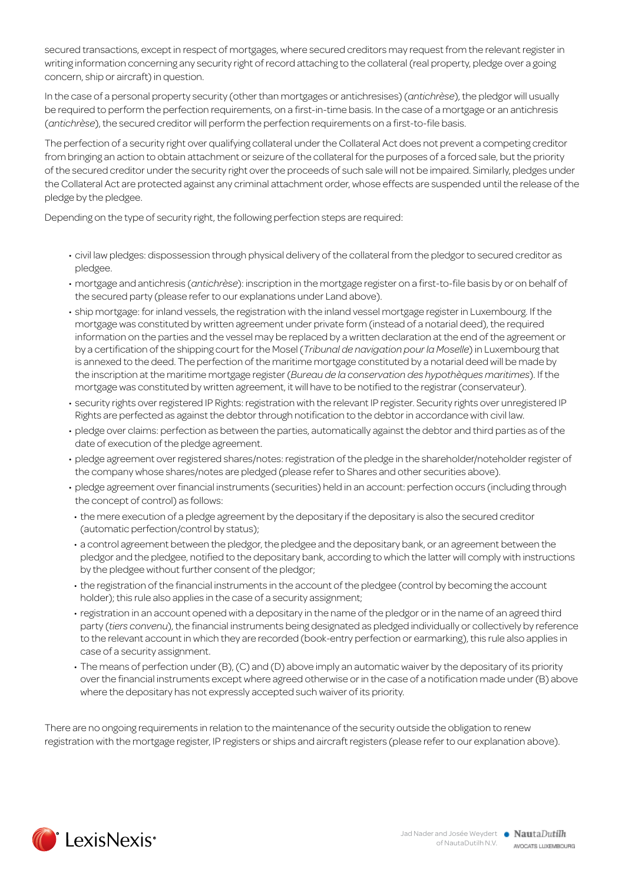secured transactions, except in respect of mortgages, where secured creditors may request from the relevant register in writing information concerning any security right of record attaching to the collateral (real property, pledge over a going concern, ship or aircraft) in question.

In the case of a personal property security (other than mortgages or antichresises) (*antichrèse*), the pledgor will usually be required to perform the perfection requirements, on a first-in-time basis. In the case of a mortgage or an antichresis (*antichrèse*), the secured creditor will perform the perfection requirements on a first-to-file basis.

The perfection of a security right over qualifying collateral under the Collateral Act does not prevent a competing creditor from bringing an action to obtain attachment or seizure of the collateral for the purposes of a forced sale, but the priority of the secured creditor under the security right over the proceeds of such sale will not be impaired. Similarly, pledges under the Collateral Act are protected against any criminal attachment order, whose effects are suspended until the release of the pledge by the pledgee.

Depending on the type of security right, the following perfection steps are required:

- • civil law pledges: dispossession through physical delivery of the collateral from the pledgor to secured creditor as pledgee.
- • mortgage and antichresis (*antichrèse*): inscription in the mortgage register on a first-to-file basis by or on behalf of the secured party (please refer to our explanations under Land above).
- • ship mortgage: for inland vessels, the registration with the inland vessel mortgage register in Luxembourg. If the mortgage was constituted by written agreement under private form (instead of a notarial deed), the required information on the parties and the vessel may be replaced by a written declaration at the end of the agreement or by a certification of the shipping court for the Mosel (*Tribunal de navigation pour la Moselle*) in Luxembourg that is annexed to the deed. The perfection of the maritime mortgage constituted by a notarial deed will be made by the inscription at the maritime mortgage register (*Bureau de la conservation des hypothèques maritimes*). If the mortgage was constituted by written agreement, it will have to be notified to the registrar (conservateur).
- security rights over registered IP Rights: registration with the relevant IP register. Security rights over unregistered IP Rights are perfected as against the debtor through notification to the debtor in accordance with civil law.
- pledge over claims: perfection as between the parties, automatically against the debtor and third parties as of the date of execution of the pledge agreement.
- pledge agreement over registered shares/notes: registration of the pledge in the shareholder/noteholder register of the company whose shares/notes are pledged (please refer to Shares and other securities above).
- pledge agreement over financial instruments (securities) held in an account: perfection occurs (including through the concept of control) as follows:
- the mere execution of a pledge agreement by the depositary if the depositary is also the secured creditor (automatic perfection/control by status);
- • a control agreement between the pledgor, the pledgee and the depositary bank, or an agreement between the pledgor and the pledgee, notified to the depositary bank, according to which the latter will comply with instructions by the pledgee without further consent of the pledgor;
- the registration of the financial instruments in the account of the pledgee (control by becoming the account holder); this rule also applies in the case of a security assignment;
- registration in an account opened with a depositary in the name of the pledgor or in the name of an agreed third party (*tiers convenu*), the financial instruments being designated as pledged individually or collectively by reference to the relevant account in which they are recorded (book-entry perfection or earmarking), this rule also applies in case of a security assignment.
- The means of perfection under (B), (C) and (D) above imply an automatic waiver by the depositary of its priority over the financial instruments except where agreed otherwise or in the case of a notification made under (B) above where the depositary has not expressly accepted such waiver of its priority.

There are no ongoing requirements in relation to the maintenance of the security outside the obligation to renew registration with the mortgage register, IP registers or ships and aircraft registers (please refer to our explanation above).

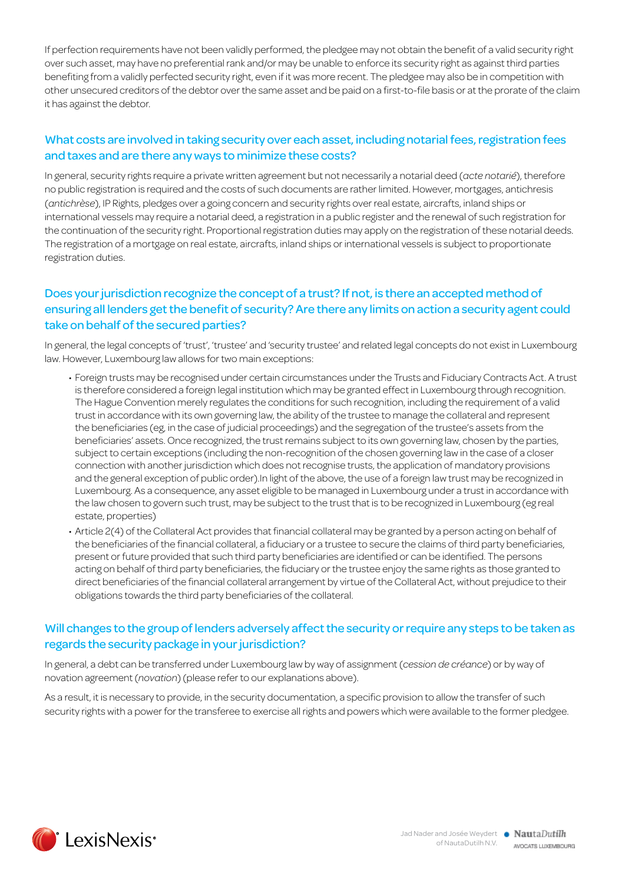If perfection requirements have not been validly performed, the pledgee may not obtain the benefit of a valid security right over such asset, may have no preferential rank and/or may be unable to enforce its security right as against third parties benefiting from a validly perfected security right, even if it was more recent. The pledgee may also be in competition with other unsecured creditors of the debtor over the same asset and be paid on a first-to-file basis or at the prorate of the claim it has against the debtor.

#### What costs are involved in taking security over each asset, including notarial fees, registration fees and taxes and are there any ways to minimize these costs?

In general, security rights require a private written agreement but not necessarily a notarial deed (*acte notarié*), therefore no public registration is required and the costs of such documents are rather limited. However, mortgages, antichresis (*antichrèse*), IP Rights, pledges over a going concern and security rights over real estate, aircrafts, inland ships or international vessels may require a notarial deed, a registration in a public register and the renewal of such registration for the continuation of the security right. Proportional registration duties may apply on the registration of these notarial deeds. The registration of a mortgage on real estate, aircrafts, inland ships or international vessels is subject to proportionate registration duties.

#### Does your jurisdiction recognize the concept of a trust? If not, is there an accepted method of ensuring all lenders get the benefit of security? Are there any limits on action a security agent could take on behalf of the secured parties?

In general, the legal concepts of 'trust', 'trustee' and 'security trustee' and related legal concepts do not exist in Luxembourg law. However, Luxembourg law allows for two main exceptions:

- • Foreign trusts may be recognised under certain circumstances under the Trusts and Fiduciary Contracts Act. A trust is therefore considered a foreign legal institution which may be granted effect in Luxembourg through recognition. The Hague Convention merely regulates the conditions for such recognition, including the requirement of a valid trust in accordance with its own governing law, the ability of the trustee to manage the collateral and represent the beneficiaries (eg, in the case of judicial proceedings) and the segregation of the trustee's assets from the beneficiaries' assets. Once recognized, the trust remains subject to its own governing law, chosen by the parties, subject to certain exceptions (including the non-recognition of the chosen governing law in the case of a closer connection with another jurisdiction which does not recognise trusts, the application of mandatory provisions and the general exception of public order).In light of the above, the use of a foreign law trust may be recognized in Luxembourg. As a consequence, any asset eligible to be managed in Luxembourg under a trust in accordance with the law chosen to govern such trust, may be subject to the trust that is to be recognized in Luxembourg (eg real estate, properties)
- • Article 2(4) of the Collateral Act provides that financial collateral may be granted by a person acting on behalf of the beneficiaries of the financial collateral, a fiduciary or a trustee to secure the claims of third party beneficiaries, present or future provided that such third party beneficiaries are identified or can be identified. The persons acting on behalf of third party beneficiaries, the fiduciary or the trustee enjoy the same rights as those granted to direct beneficiaries of the financial collateral arrangement by virtue of the Collateral Act, without prejudice to their obligations towards the third party beneficiaries of the collateral.

#### Will changes to the group of lenders adversely affect the security or require any steps to be taken as regards the security package in your jurisdiction?

In general, a debt can be transferred under Luxembourg law by way of assignment (*cession de créance*) or by way of novation agreement (*novation*) (please refer to our explanations above).

As a result, it is necessary to provide, in the security documentation, a specific provision to allow the transfer of such security rights with a power for the transferee to exercise all rights and powers which were available to the former pledgee.

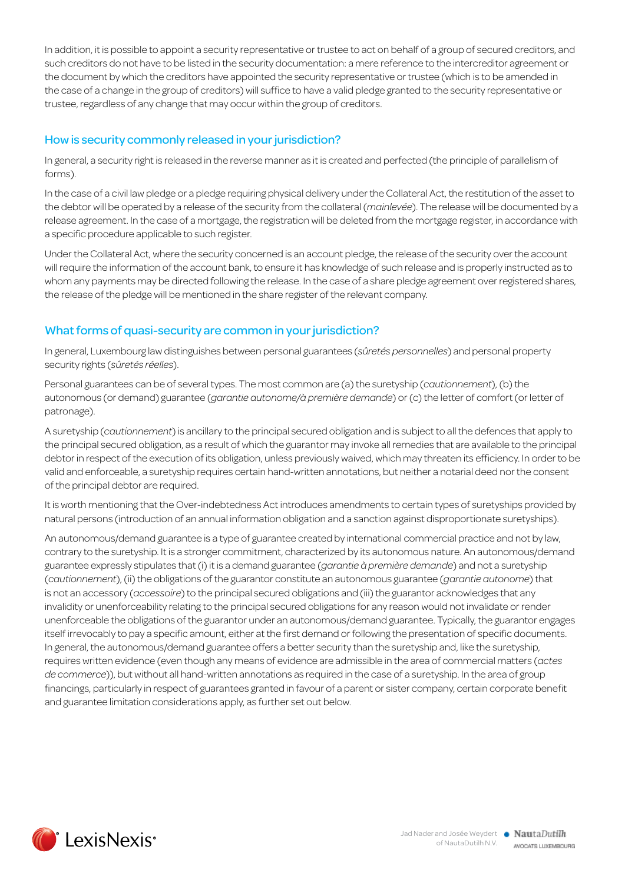In addition, it is possible to appoint a security representative or trustee to act on behalf of a group of secured creditors, and such creditors do not have to be listed in the security documentation: a mere reference to the intercreditor agreement or the document by which the creditors have appointed the security representative or trustee (which is to be amended in the case of a change in the group of creditors) will suffice to have a valid pledge granted to the security representative or trustee, regardless of any change that may occur within the group of creditors.

#### How is security commonly released in your jurisdiction?

In general, a security right is released in the reverse manner as it is created and perfected (the principle of parallelism of forms).

In the case of a civil law pledge or a pledge requiring physical delivery under the Collateral Act, the restitution of the asset to the debtor will be operated by a release of the security from the collateral (*mainlevée*). The release will be documented by a release agreement. In the case of a mortgage, the registration will be deleted from the mortgage register, in accordance with a specific procedure applicable to such register.

Under the Collateral Act, where the security concerned is an account pledge, the release of the security over the account will require the information of the account bank, to ensure it has knowledge of such release and is properly instructed as to whom any payments may be directed following the release. In the case of a share pledge agreement over registered shares, the release of the pledge will be mentioned in the share register of the relevant company.

#### What forms of quasi-security are common in your jurisdiction?

In general, Luxembourg law distinguishes between personal guarantees (*sûretés personnelles*) and personal property security rights (*sûretés réelles*).

Personal guarantees can be of several types. The most common are (a) the suretyship (*cautionnement*), (b) the autonomous (or demand) guarantee (*garantie autonome/à première demande*) or (c) the letter of comfort (or letter of patronage).

A suretyship (*cautionnement*) is ancillary to the principal secured obligation and is subject to all the defences that apply to the principal secured obligation, as a result of which the guarantor may invoke all remedies that are available to the principal debtor in respect of the execution of its obligation, unless previously waived, which may threaten its efficiency. In order to be valid and enforceable, a suretyship requires certain hand-written annotations, but neither a notarial deed nor the consent of the principal debtor are required.

It is worth mentioning that the Over-indebtedness Act introduces amendments to certain types of suretyships provided by natural persons (introduction of an annual information obligation and a sanction against disproportionate suretyships).

An autonomous/demand guarantee is a type of guarantee created by international commercial practice and not by law, contrary to the suretyship. It is a stronger commitment, characterized by its autonomous nature. An autonomous/demand guarantee expressly stipulates that (i) it is a demand guarantee (*garantie à première demande*) and not a suretyship (*cautionnement*), (ii) the obligations of the guarantor constitute an autonomous guarantee (*garantie autonome*) that is not an accessory (*accessoire*) to the principal secured obligations and (iii) the guarantor acknowledges that any invalidity or unenforceability relating to the principal secured obligations for any reason would not invalidate or render unenforceable the obligations of the guarantor under an autonomous/demand guarantee. Typically, the guarantor engages itself irrevocably to pay a specific amount, either at the first demand or following the presentation of specific documents. In general, the autonomous/demand guarantee offers a better security than the suretyship and, like the suretyship, requires written evidence (even though any means of evidence are admissible in the area of commercial matters (*actes de commerce*)), but without all hand-written annotations as required in the case of a suretyship. In the area of group financings, particularly in respect of guarantees granted in favour of a parent or sister company, certain corporate benefit and guarantee limitation considerations apply, as further set out below.

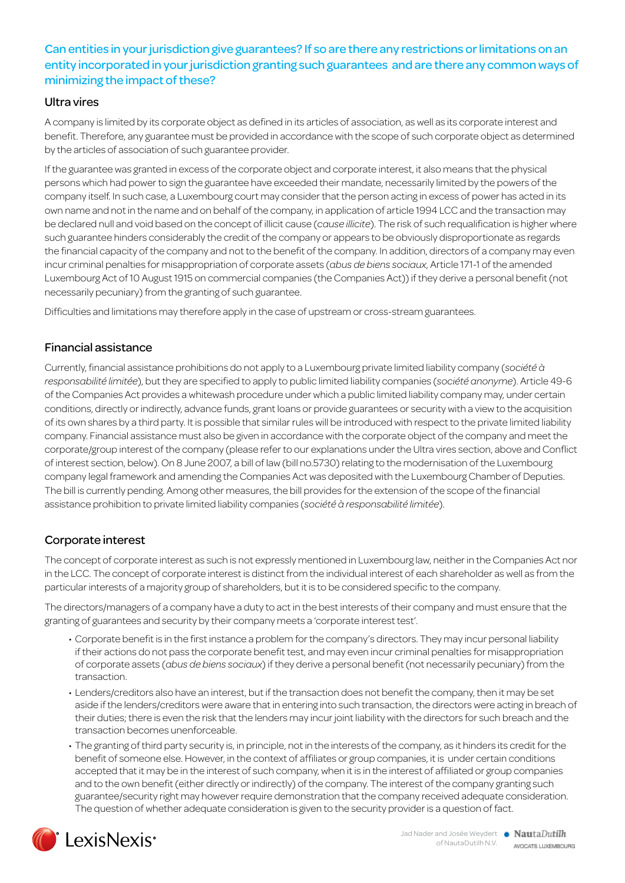#### Can entities in your jurisdiction give guarantees? If so are there any restrictions or limitations on an entity incorporated in your jurisdiction granting such guarantees and are there any common ways of minimizing the impact of these?

#### Ultra vires

A company is limited by its corporate object as defined in its articles of association, as well as its corporate interest and benefit. Therefore, any guarantee must be provided in accordance with the scope of such corporate object as determined by the articles of association of such guarantee provider.

If the guarantee was granted in excess of the corporate object and corporate interest, it also means that the physical persons which had power to sign the guarantee have exceeded their mandate, necessarily limited by the powers of the company itself. In such case, a Luxembourg court may consider that the person acting in excess of power has acted in its own name and not in the name and on behalf of the company, in application of article 1994 LCC and the transaction may be declared null and void based on the concept of illicit cause (*cause illicite*). The risk of such requalification is higher where such guarantee hinders considerably the credit of the company or appears to be obviously disproportionate as regards the financial capacity of the company and not to the benefit of the company. In addition, directors of a company may even incur criminal penalties for misappropriation of corporate assets (*abus de biens sociaux*, Article 171-1 of the amended Luxembourg Act of 10 August 1915 on commercial companies (the Companies Act)) if they derive a personal benefit (not necessarily pecuniary) from the granting of such guarantee.

Difficulties and limitations may therefore apply in the case of upstream or cross-stream guarantees.

#### Financial assistance

Currently, financial assistance prohibitions do not apply to a Luxembourg private limited liability company (*société à responsabilité limitée*), but they are specified to apply to public limited liability companies (*société anonyme*). Article 49-6 of the Companies Act provides a whitewash procedure under which a public limited liability company may, under certain conditions, directly or indirectly, advance funds, grant loans or provide guarantees or security with a view to the acquisition of its own shares by a third party. It is possible that similar rules will be introduced with respect to the private limited liability company. Financial assistance must also be given in accordance with the corporate object of the company and meet the corporate/group interest of the company (please refer to our explanations under the Ultra vires section, above and Conflict of interest section, below). On 8 June 2007, a bill of law (bill no.5730) relating to the modernisation of the Luxembourg company legal framework and amending the Companies Act was deposited with the Luxembourg Chamber of Deputies. The bill is currently pending. Among other measures, the bill provides for the extension of the scope of the financial assistance prohibition to private limited liability companies (*société à responsabilité limitée*).

#### Corporate interest

The concept of corporate interest as such is not expressly mentioned in Luxembourg law, neither in the Companies Act nor in the LCC. The concept of corporate interest is distinct from the individual interest of each shareholder as well as from the particular interests of a majority group of shareholders, but it is to be considered specific to the company.

The directors/managers of a company have a duty to act in the best interests of their company and must ensure that the granting of guarantees and security by their company meets a 'corporate interest test'.

- • Corporate benefit is in the first instance a problem for the company's directors. They may incur personal liability if their actions do not pass the corporate benefit test, and may even incur criminal penalties for misappropriation of corporate assets (*abus de biens sociaux*) if they derive a personal benefit (not necessarily pecuniary) from the transaction.
- • Lenders/creditors also have an interest, but if the transaction does not benefit the company, then it may be set aside if the lenders/creditors were aware that in entering into such transaction, the directors were acting in breach of their duties; there is even the risk that the lenders may incur joint liability with the directors for such breach and the transaction becomes unenforceable.
- • The granting of third party security is, in principle, not in the interests of the company, as it hinders its credit for the benefit of someone else. However, in the context of affiliates or group companies, it is under certain conditions accepted that it may be in the interest of such company, when it is in the interest of affiliated or group companies and to the own benefit (either directly or indirectly) of the company. The interest of the company granting such guarantee/security right may however require demonstration that the company received adequate consideration. The question of whether adequate consideration is given to the security provider is a question of fact.

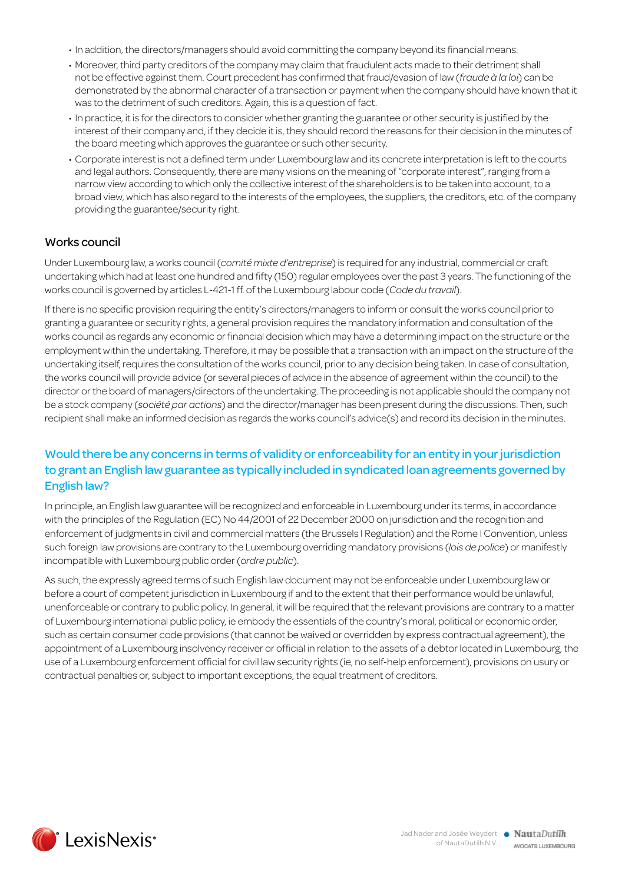- In addition, the directors/managers should avoid committing the company beyond its financial means.
- • Moreover, third party creditors of the company may claim that fraudulent acts made to their detriment shall not be effective against them. Court precedent has confirmed that fraud/evasion of law (*fraude à la loi*) can be demonstrated by the abnormal character of a transaction or payment when the company should have known that it was to the detriment of such creditors. Again, this is a question of fact.
- In practice, it is for the directors to consider whether granting the guarantee or other security is justified by the interest of their company and, if they decide it is, they should record the reasons for their decision in the minutes of the board meeting which approves the guarantee or such other security.
- • Corporate interest is not a defined term under Luxembourg law and its concrete interpretation is left to the courts and legal authors. Consequently, there are many visions on the meaning of "corporate interest", ranging from a narrow view according to which only the collective interest of the shareholders is to be taken into account, to a broad view, which has also regard to the interests of the employees, the suppliers, the creditors, etc. of the company providing the guarantee/security right.

#### Works council

Under Luxembourg law, a works council (*comité mixte d'entreprise*) is required for any industrial, commercial or craft undertaking which had at least one hundred and fifty (150) regular employees over the past 3 years. The functioning of the works council is governed by articles L-421-1 ff. of the Luxembourg labour code (*Code du travail*).

If there is no specific provision requiring the entity's directors/managers to inform or consult the works council prior to granting a guarantee or security rights, a general provision requires the mandatory information and consultation of the works council as regards any economic or financial decision which may have a determining impact on the structure or the employment within the undertaking. Therefore, it may be possible that a transaction with an impact on the structure of the undertaking itself, requires the consultation of the works council, prior to any decision being taken. In case of consultation, the works council will provide advice (or several pieces of advice in the absence of agreement within the council) to the director or the board of managers/directors of the undertaking. The proceeding is not applicable should the company not be a stock company (*société par actions*) and the director/manager has been present during the discussions. Then, such recipient shall make an informed decision as regards the works council's advice(s) and record its decision in the minutes.

#### Would there be any concerns in terms of validity or enforceability for an entity in your jurisdiction to grant an English law guarantee as typically included in syndicated loan agreements governed by English law?

In principle, an English law guarantee will be recognized and enforceable in Luxembourg under its terms, in accordance with the principles of the Regulation (EC) No 44/2001 of 22 December 2000 on jurisdiction and the recognition and enforcement of judgments in civil and commercial matters (the Brussels I Regulation) and the Rome I Convention, unless such foreign law provisions are contrary to the Luxembourg overriding mandatory provisions (*lois de police*) or manifestly incompatible with Luxembourg public order (*ordre public*).

As such, the expressly agreed terms of such English law document may not be enforceable under Luxembourg law or before a court of competent jurisdiction in Luxembourg if and to the extent that their performance would be unlawful, unenforceable or contrary to public policy. In general, it will be required that the relevant provisions are contrary to a matter of Luxembourg international public policy, ie embody the essentials of the country's moral, political or economic order, such as certain consumer code provisions (that cannot be waived or overridden by express contractual agreement), the appointment of a Luxembourg insolvency receiver or official in relation to the assets of a debtor located in Luxembourg, the use of a Luxembourg enforcement official for civil law security rights (ie, no self-help enforcement), provisions on usury or contractual penalties or, subject to important exceptions, the equal treatment of creditors.

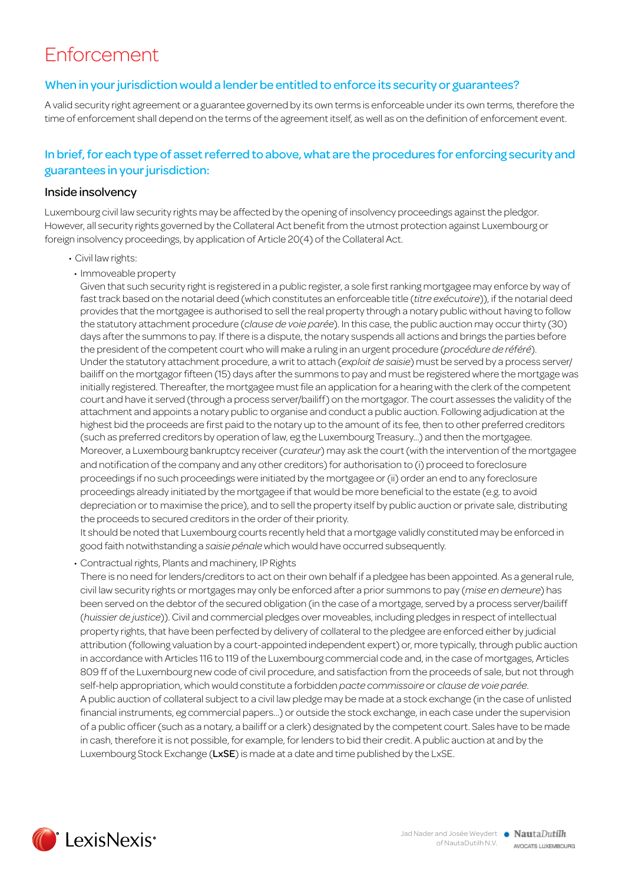## Enforcement

#### When in your jurisdiction would a lender be entitled to enforce its security or guarantees?

A valid security right agreement or a guarantee governed by its own terms is enforceable under its own terms, therefore the time of enforcement shall depend on the terms of the agreement itself, as well as on the definition of enforcement event.

#### In brief, for each type of asset referred to above, what are the procedures for enforcing security and guarantees in your jurisdiction:

#### Inside insolvency

Luxembourg civil law security rights may be affected by the opening of insolvency proceedings against the pledgor. However, all security rights governed by the Collateral Act benefit from the utmost protection against Luxembourg or foreign insolvency proceedings, by application of Article 20(4) of the Collateral Act.

- • Civil law rights:
- Immoveable property

Given that such security right is registered in a public register, a sole first ranking mortgagee may enforce by way of fast track based on the notarial deed (which constitutes an enforceable title (*titre exécutoire*)), if the notarial deed provides that the mortgagee is authorised to sell the real property through a notary public without having to follow the statutory attachment procedure (*clause de voie parée*). In this case, the public auction may occur thirty (30) days after the summons to pay. If there is a dispute, the notary suspends all actions and brings the parties before the president of the competent court who will make a ruling in an urgent procedure (*procédure de référé*). Under the statutory attachment procedure, a writ to attach (*exploit de saisie*) must be served by a process server/ bailiff on the mortgagor fifteen (15) days after the summons to pay and must be registered where the mortgage was initially registered. Thereafter, the mortgagee must file an application for a hearing with the clerk of the competent court and have it served (through a process server/bailiff) on the mortgagor. The court assesses the validity of the attachment and appoints a notary public to organise and conduct a public auction. Following adjudication at the highest bid the proceeds are first paid to the notary up to the amount of its fee, then to other preferred creditors (such as preferred creditors by operation of law, eg the Luxembourg Treasury...) and then the mortgagee. Moreover, a Luxembourg bankruptcy receiver (*curateur*) may ask the court (with the intervention of the mortgagee and notification of the company and any other creditors) for authorisation to (i) proceed to foreclosure proceedings if no such proceedings were initiated by the mortgagee or (ii) order an end to any foreclosure proceedings already initiated by the mortgagee if that would be more beneficial to the estate (e.g. to avoid depreciation or to maximise the price), and to sell the property itself by public auction or private sale, distributing the proceeds to secured creditors in the order of their priority.

It should be noted that Luxembourg courts recently held that a mortgage validly constituted may be enforced in good faith notwithstanding a *saisie pénale* which would have occurred subsequently.

• Contractual rights, Plants and machinery, IP Rights

There is no need for lenders/creditors to act on their own behalf if a pledgee has been appointed. As a general rule, civil law security rights or mortgages may only be enforced after a prior summons to pay (*mise en demeure*) has been served on the debtor of the secured obligation (in the case of a mortgage, served by a process server/bailiff (*huissier de justice*)). Civil and commercial pledges over moveables, including pledges in respect of intellectual property rights, that have been perfected by delivery of collateral to the pledgee are enforced either by judicial attribution (following valuation by a court-appointed independent expert) or, more typically, through public auction in accordance with Articles 116 to 119 of the Luxembourg commercial code and, in the case of mortgages, Articles 809 ff of the Luxembourg new code of civil procedure, and satisfaction from the proceeds of sale, but not through self-help appropriation, which would constitute a forbidden *pacte commissoire* or *clause de voie parée*. A public auction of collateral subject to a civil law pledge may be made at a stock exchange (in the case of unlisted financial instruments, eg commercial papers...) or outside the stock exchange, in each case under the supervision of a public officer (such as a notary, a bailiff or a clerk) designated by the competent court. Sales have to be made in cash, therefore it is not possible, for example, for lenders to bid their credit. A public auction at and by the Luxembourg Stock Exchange (LxSE) is made at a date and time published by the LxSE.

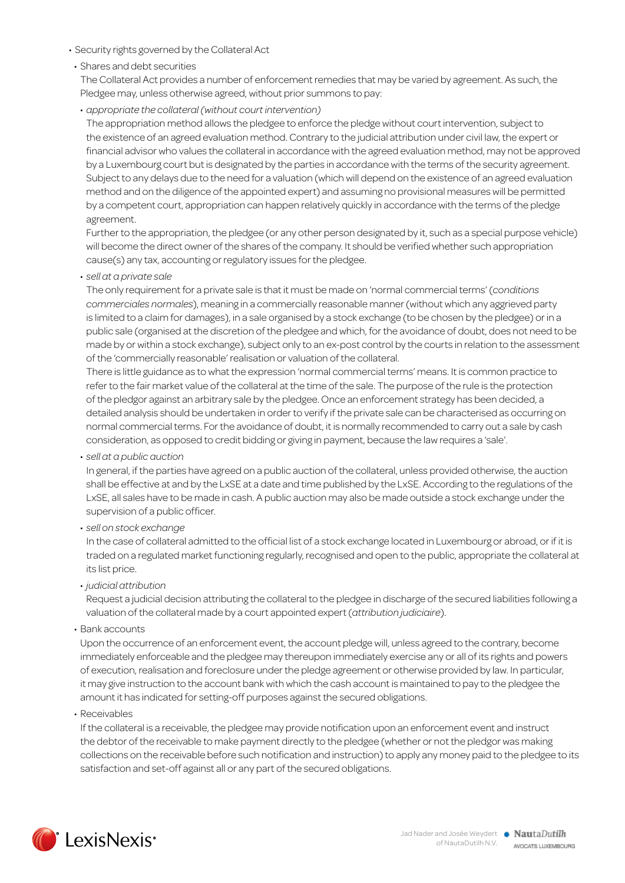- • Security rights governed by the Collateral Act
- Shares and debt securities

The Collateral Act provides a number of enforcement remedies that may be varied by agreement. As such, the Pledgee may, unless otherwise agreed, without prior summons to pay:

• *appropriate the collateral (without court intervention)* 

The appropriation method allows the pledgee to enforce the pledge without court intervention, subject to the existence of an agreed evaluation method. Contrary to the judicial attribution under civil law, the expert or financial advisor who values the collateral in accordance with the agreed evaluation method, may not be approved by a Luxembourg court but is designated by the parties in accordance with the terms of the security agreement. Subject to any delays due to the need for a valuation (which will depend on the existence of an agreed evaluation method and on the diligence of the appointed expert) and assuming no provisional measures will be permitted by a competent court, appropriation can happen relatively quickly in accordance with the terms of the pledge agreement.

Further to the appropriation, the pledgee (or any other person designated by it, such as a special purpose vehicle) will become the direct owner of the shares of the company. It should be verified whether such appropriation cause(s) any tax, accounting or regulatory issues for the pledgee.

• *sell at a private sale*

The only requirement for a private sale is that it must be made on 'normal commercial terms' (*conditions commerciales normales*), meaning in a commercially reasonable manner (without which any aggrieved party is limited to a claim for damages), in a sale organised by a stock exchange (to be chosen by the pledgee) or in a public sale (organised at the discretion of the pledgee and which, for the avoidance of doubt, does not need to be made by or within a stock exchange), subject only to an ex-post control by the courts in relation to the assessment of the 'commercially reasonable' realisation or valuation of the collateral.

There is little guidance as to what the expression 'normal commercial terms' means. It is common practice to refer to the fair market value of the collateral at the time of the sale. The purpose of the rule is the protection of the pledgor against an arbitrary sale by the pledgee. Once an enforcement strategy has been decided, a detailed analysis should be undertaken in order to verify if the private sale can be characterised as occurring on normal commercial terms. For the avoidance of doubt, it is normally recommended to carry out a sale by cash consideration, as opposed to credit bidding or giving in payment, because the law requires a 'sale'.

• *sell at a public auction*

In general, if the parties have agreed on a public auction of the collateral, unless provided otherwise, the auction shall be effective at and by the LxSE at a date and time published by the LxSE. According to the regulations of the LxSE, all sales have to be made in cash. A public auction may also be made outside a stock exchange under the supervision of a public officer.

• *sell on stock exchange*

In the case of collateral admitted to the official list of a stock exchange located in Luxembourg or abroad, or if it is traded on a regulated market functioning regularly, recognised and open to the public, appropriate the collateral at its list price.

• *judicial attribution*

Request a judicial decision attributing the collateral to the pledgee in discharge of the secured liabilities following a valuation of the collateral made by a court appointed expert (*attribution judiciaire*).

• Bank accounts

Upon the occurrence of an enforcement event, the account pledge will, unless agreed to the contrary, become immediately enforceable and the pledgee may thereupon immediately exercise any or all of its rights and powers of execution, realisation and foreclosure under the pledge agreement or otherwise provided by law. In particular, it may give instruction to the account bank with which the cash account is maintained to pay to the pledgee the amount it has indicated for setting-off purposes against the secured obligations.

• Receivables

If the collateral is a receivable, the pledgee may provide notification upon an enforcement event and instruct the debtor of the receivable to make payment directly to the pledgee (whether or not the pledgor was making collections on the receivable before such notification and instruction) to apply any money paid to the pledgee to its satisfaction and set-off against all or any part of the secured obligations.

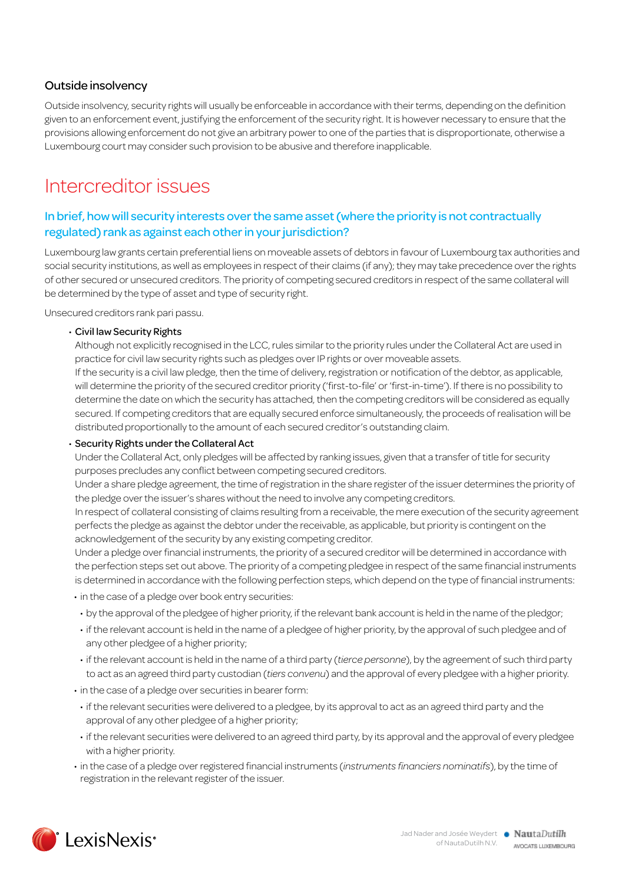#### Outside insolvency

Outside insolvency, security rights will usually be enforceable in accordance with their terms, depending on the definition given to an enforcement event, justifying the enforcement of the security right. It is however necessary to ensure that the provisions allowing enforcement do not give an arbitrary power to one of the parties that is disproportionate, otherwise a Luxembourg court may consider such provision to be abusive and therefore inapplicable.

### Intercreditor issues

#### In brief, how will security interests over the same asset (where the priority is not contractually regulated) rank as against each other in your jurisdiction?

Luxembourg law grants certain preferential liens on moveable assets of debtors in favour of Luxembourg tax authorities and social security institutions, as well as employees in respect of their claims (if any); they may take precedence over the rights of other secured or unsecured creditors. The priority of competing secured creditors in respect of the same collateral will be determined by the type of asset and type of security right.

Unsecured creditors rank pari passu.

#### • Civil law Security Rights

Although not explicitly recognised in the LCC, rules similar to the priority rules under the Collateral Act are used in practice for civil law security rights such as pledges over IP rights or over moveable assets.

If the security is a civil law pledge, then the time of delivery, registration or notification of the debtor, as applicable, will determine the priority of the secured creditor priority ('first-to-file' or 'first-in-time'). If there is no possibility to determine the date on which the security has attached, then the competing creditors will be considered as equally secured. If competing creditors that are equally secured enforce simultaneously, the proceeds of realisation will be distributed proportionally to the amount of each secured creditor's outstanding claim.

#### • Security Rights under the Collateral Act

Under the Collateral Act, only pledges will be affected by ranking issues, given that a transfer of title for security purposes precludes any conflict between competing secured creditors.

Under a share pledge agreement, the time of registration in the share register of the issuer determines the priority of the pledge over the issuer's shares without the need to involve any competing creditors.

In respect of collateral consisting of claims resulting from a receivable, the mere execution of the security agreement perfects the pledge as against the debtor under the receivable, as applicable, but priority is contingent on the acknowledgement of the security by any existing competing creditor.

Under a pledge over financial instruments, the priority of a secured creditor will be determined in accordance with the perfection steps set out above. The priority of a competing pledgee in respect of the same financial instruments is determined in accordance with the following perfection steps, which depend on the type of financial instruments:

• in the case of a pledge over book entry securities:

- by the approval of the pledgee of higher priority, if the relevant bank account is held in the name of the pledgor;
- if the relevant account is held in the name of a pledgee of higher priority, by the approval of such pledgee and of any other pledgee of a higher priority;
- • if the relevant account is held in the name of a third party (*tierce personne*), by the agreement of such third party to act as an agreed third party custodian (*tiers convenu*) and the approval of every pledgee with a higher priority.
- in the case of a pledge over securities in bearer form:
- if the relevant securities were delivered to a pledgee, by its approval to act as an agreed third party and the approval of any other pledgee of a higher priority;
- if the relevant securities were delivered to an agreed third party, by its approval and the approval of every pledgee with a higher priority.
- • in the case of a pledge over registered financial instruments (*instruments financiers nominatifs*), by the time of registration in the relevant register of the issuer.

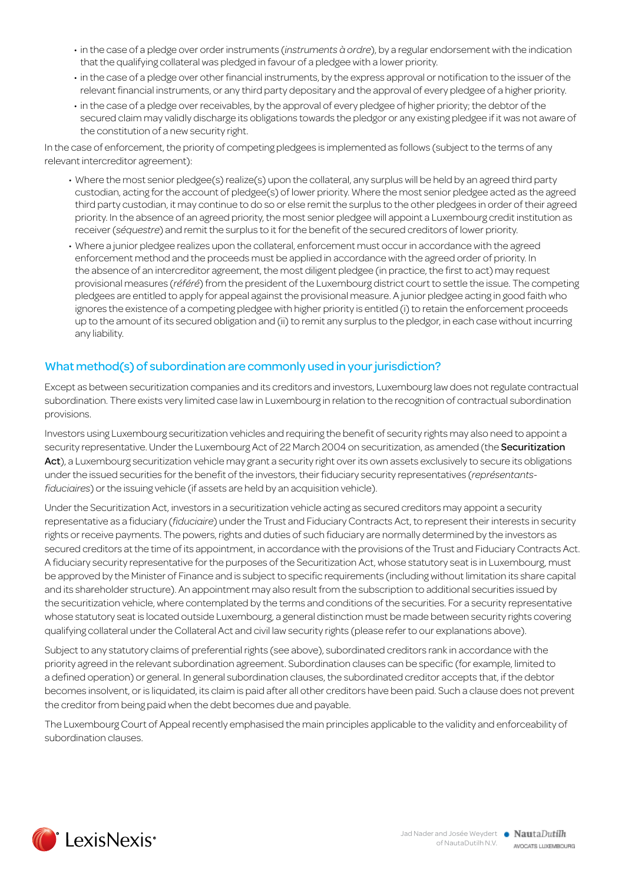- • in the case of a pledge over order instruments (*instruments à ordre*), by a regular endorsement with the indication that the qualifying collateral was pledged in favour of a pledgee with a lower priority.
- in the case of a pledge over other financial instruments, by the express approval or notification to the issuer of the relevant financial instruments, or any third party depositary and the approval of every pledgee of a higher priority.
- in the case of a pledge over receivables, by the approval of every pledgee of higher priority; the debtor of the secured claim may validly discharge its obligations towards the pledgor or any existing pledgee if it was not aware of the constitution of a new security right.

In the case of enforcement, the priority of competing pledgees is implemented as follows (subject to the terms of any relevant intercreditor agreement):

- • Where the most senior pledgee(s) realize(s) upon the collateral, any surplus will be held by an agreed third party custodian, acting for the account of pledgee(s) of lower priority. Where the most senior pledgee acted as the agreed third party custodian, it may continue to do so or else remit the surplus to the other pledgees in order of their agreed priority. In the absence of an agreed priority, the most senior pledgee will appoint a Luxembourg credit institution as receiver (*séquestre*) and remit the surplus to it for the benefit of the secured creditors of lower priority.
- • Where a junior pledgee realizes upon the collateral, enforcement must occur in accordance with the agreed enforcement method and the proceeds must be applied in accordance with the agreed order of priority. In the absence of an intercreditor agreement, the most diligent pledgee (in practice, the first to act) may request provisional measures (*référé*) from the president of the Luxembourg district court to settle the issue. The competing pledgees are entitled to apply for appeal against the provisional measure. A junior pledgee acting in good faith who ignores the existence of a competing pledgee with higher priority is entitled (i) to retain the enforcement proceeds up to the amount of its secured obligation and (ii) to remit any surplus to the pledgor, in each case without incurring any liability.

#### What method(s) of subordination are commonly used in your jurisdiction?

Except as between securitization companies and its creditors and investors, Luxembourg law does not regulate contractual subordination. There exists very limited case law in Luxembourg in relation to the recognition of contractual subordination provisions.

Investors using Luxembourg securitization vehicles and requiring the benefit of security rights may also need to appoint a security representative. Under the Luxembourg Act of 22 March 2004 on securitization, as amended (the Securitization Act), a Luxembourg securitization vehicle may grant a security right over its own assets exclusively to secure its obligations under the issued securities for the benefit of the investors, their fiduciary security representatives (*représentantsfiduciaires*) or the issuing vehicle (if assets are held by an acquisition vehicle).

Under the Securitization Act, investors in a securitization vehicle acting as secured creditors may appoint a security representative as a fiduciary (*fiduciaire*) under the Trust and Fiduciary Contracts Act, to represent their interests in security rights or receive payments. The powers, rights and duties of such fiduciary are normally determined by the investors as secured creditors at the time of its appointment, in accordance with the provisions of the Trust and Fiduciary Contracts Act. A fiduciary security representative for the purposes of the Securitization Act, whose statutory seat is in Luxembourg, must be approved by the Minister of Finance and is subject to specific requirements (including without limitation its share capital and its shareholder structure). An appointment may also result from the subscription to additional securities issued by the securitization vehicle, where contemplated by the terms and conditions of the securities. For a security representative whose statutory seat is located outside Luxembourg, a general distinction must be made between security rights covering qualifying collateral under the Collateral Act and civil law security rights (please refer to our explanations above).

Subject to any statutory claims of preferential rights (see above), subordinated creditors rank in accordance with the priority agreed in the relevant subordination agreement. Subordination clauses can be specific (for example, limited to a defined operation) or general. In general subordination clauses, the subordinated creditor accepts that, if the debtor becomes insolvent, or is liquidated, its claim is paid after all other creditors have been paid. Such a clause does not prevent the creditor from being paid when the debt becomes due and payable.

The Luxembourg Court of Appeal recently emphasised the main principles applicable to the validity and enforceability of subordination clauses.

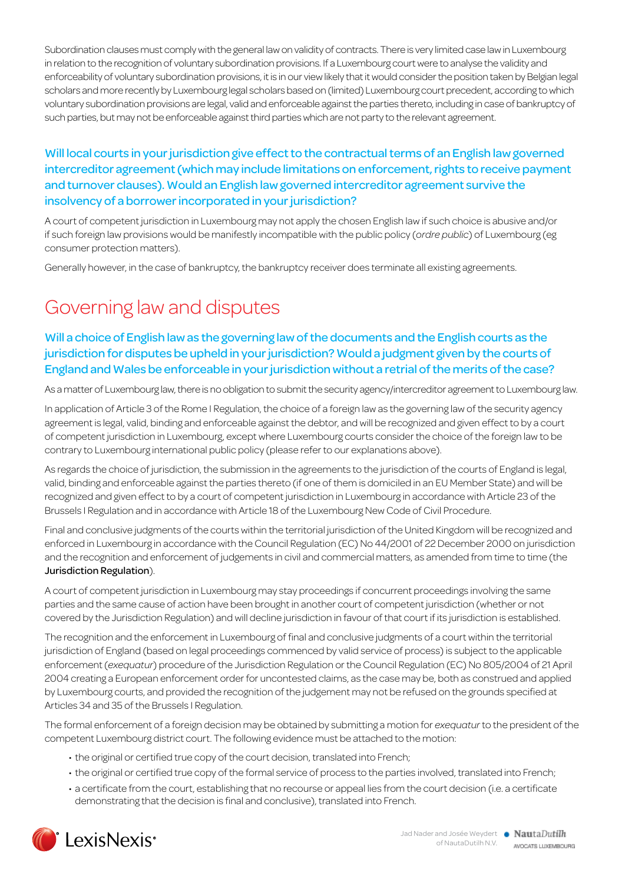Subordination clauses must comply with the general law on validity of contracts. There is very limited case law in Luxembourg in relation to the recognition of voluntary subordination provisions. If a Luxembourg court were to analyse the validity and enforceability of voluntary subordination provisions, it is in our view likely that it would consider the position taken by Belgian legal scholars and more recently by Luxembourg legal scholars based on (limited) Luxembourg court precedent, according to which voluntary subordination provisions are legal, valid and enforceable against the parties thereto, including in case of bankruptcy of such parties, but may not be enforceable against third parties which are not party to the relevant agreement.

#### Will local courts in your jurisdiction give effect to the contractual terms of an English law governed intercreditor agreement (which may include limitations on enforcement, rights to receive payment and turnover clauses). Would an English law governed intercreditor agreement survive the insolvency of a borrower incorporated in your jurisdiction?

A court of competent jurisdiction in Luxembourg may not apply the chosen English law if such choice is abusive and/or if such foreign law provisions would be manifestly incompatible with the public policy (*ordre public*) of Luxembourg (eg consumer protection matters).

Generally however, in the case of bankruptcy, the bankruptcy receiver does terminate all existing agreements.

# Governing law and disputes

#### Will a choice of English law as the governing law of the documents and the English courts as the jurisdiction for disputes be upheld in your jurisdiction? Would a judgment given by the courts of England and Wales be enforceable in your jurisdiction without a retrial of the merits of the case?

As a matter of Luxembourg law, there is no obligation to submit the security agency/intercreditor agreement to Luxembourg law.

In application of Article 3 of the Rome I Regulation, the choice of a foreign law as the governing law of the security agency agreement is legal, valid, binding and enforceable against the debtor, and will be recognized and given effect to by a court of competent jurisdiction in Luxembourg, except where Luxembourg courts consider the choice of the foreign law to be contrary to Luxembourg international public policy (please refer to our explanations above).

As regards the choice of jurisdiction, the submission in the agreements to the jurisdiction of the courts of England is legal, valid, binding and enforceable against the parties thereto (if one of them is domiciled in an EU Member State) and will be recognized and given effect to by a court of competent jurisdiction in Luxembourg in accordance with Article 23 of the Brussels I Regulation and in accordance with Article 18 of the Luxembourg New Code of Civil Procedure.

Final and conclusive judgments of the courts within the territorial jurisdiction of the United Kingdom will be recognized and enforced in Luxembourg in accordance with the Council Regulation (EC) No 44/2001 of 22 December 2000 on jurisdiction and the recognition and enforcement of judgements in civil and commercial matters, as amended from time to time (the Jurisdiction Regulation).

A court of competent jurisdiction in Luxembourg may stay proceedings if concurrent proceedings involving the same parties and the same cause of action have been brought in another court of competent jurisdiction (whether or not covered by the Jurisdiction Regulation) and will decline jurisdiction in favour of that court if its jurisdiction is established.

The recognition and the enforcement in Luxembourg of final and conclusive judgments of a court within the territorial jurisdiction of England (based on legal proceedings commenced by valid service of process) is subject to the applicable enforcement (*exequatur*) procedure of the Jurisdiction Regulation or the Council Regulation (EC) No 805/2004 of 21 April 2004 creating a European enforcement order for uncontested claims, as the case may be, both as construed and applied by Luxembourg courts, and provided the recognition of the judgement may not be refused on the grounds specified at Articles 34 and 35 of the Brussels I Regulation.

The formal enforcement of a foreign decision may be obtained by submitting a motion for *exequatur* to the president of the competent Luxembourg district court. The following evidence must be attached to the motion:

- the original or certified true copy of the court decision, translated into French;
- the original or certified true copy of the formal service of process to the parties involved, translated into French;
- a certificate from the court, establishing that no recourse or appeal lies from the court decision (i.e. a certificate demonstrating that the decision is final and conclusive), translated into French.